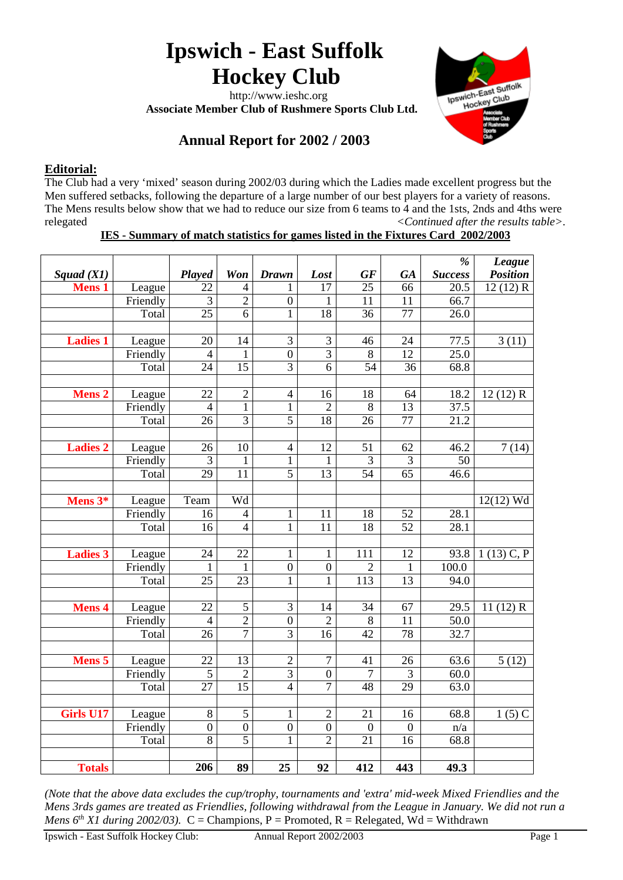# **Ipswich - East Suffolk Hockey Club**

 http://www.ieshc.org  **Associate Member Club of Rushmere Sports Club Ltd.**



# **Annual Report for 2002 / 2003**

# **Editorial:**

The Club had a very 'mixed' season during 2002/03 during which the Ladies made excellent progress but the Men suffered setbacks, following the departure of a large number of our best players for a variety of reasons. The Mens results below show that we had to reduce our size from 6 teams to 4 and the 1sts, 2nds and 4ths were relegated *<Continued after the results table>.*

### **IES - Summary of match statistics for games listed in the Fixtures Card 2002/2003**

|                  |          |                  |                  |                  |                  |                 |                 | $\frac{9}{6}$     | League          |
|------------------|----------|------------------|------------------|------------------|------------------|-----------------|-----------------|-------------------|-----------------|
| Squad $(X1)$     |          | Played           | Won              | <b>Drawn</b>     | Lost             | GF              | <b>GA</b>       | <b>Success</b>    | <b>Position</b> |
| <b>Mens 1</b>    | League   | 22               | $\overline{4}$   |                  | 17               | 25              | 66              | 20.5              | 12(12) R        |
|                  | Friendly | $\overline{3}$   | $\overline{2}$   | $\boldsymbol{0}$ | $\mathbf{1}$     | 11              | 11              | 66.7              |                 |
|                  | Total    | $\overline{25}$  | $\overline{6}$   | $\mathbf{1}$     | $\overline{18}$  | 36              | 77              | 26.0              |                 |
|                  |          |                  |                  |                  |                  |                 |                 |                   |                 |
| <b>Ladies 1</b>  | League   | 20               | 14               | 3                | $\mathfrak{Z}$   | 46              | 24              | 77.5              | 3(11)           |
|                  | Friendly | $\overline{4}$   | $\mathbf{1}$     | $\overline{0}$   | $\overline{3}$   | $\overline{8}$  | $\overline{12}$ | $\overline{25.0}$ |                 |
|                  | Total    | $\overline{24}$  | $\overline{15}$  | 3                | 6                | 54              | 36              | 68.8              |                 |
|                  |          |                  |                  |                  |                  |                 |                 |                   |                 |
| <b>Mens 2</b>    | League   | 22               | $\overline{2}$   | $\overline{4}$   | 16               | 18              | 64              | 18.2              | 12(12) R        |
|                  | Friendly | $\overline{4}$   | $\mathbf{1}$     | 1                | $\overline{2}$   | 8               | 13              | 37.5              |                 |
|                  | Total    | 26               | $\overline{3}$   | 5                | 18               | 26              | 77              | 21.2              |                 |
|                  |          |                  |                  |                  |                  |                 |                 |                   |                 |
| <b>Ladies 2</b>  | League   | 26               | 10               | $\overline{4}$   | 12               | 51              | 62              | 46.2              | 7(14)           |
|                  | Friendly | $\overline{3}$   | 1                | $\mathbf{1}$     | $\mathbf{1}$     | $\overline{3}$  | $\overline{3}$  | $\overline{50}$   |                 |
|                  | Total    | $\overline{29}$  | 11               | 5                | $\overline{13}$  | $\overline{54}$ | 65              | 46.6              |                 |
|                  |          |                  |                  |                  |                  |                 |                 |                   |                 |
| Mens 3*          | League   | Team             | Wd               |                  |                  |                 |                 |                   | $12(12)$ Wd     |
|                  | Friendly | 16               | $\overline{4}$   | 1                | 11               | 18              | 52              | 28.1              |                 |
|                  | Total    | 16               | $\overline{4}$   | $\mathbf{1}$     | 11               | 18              | 52              | 28.1              |                 |
|                  |          |                  |                  |                  |                  |                 |                 |                   |                 |
| <b>Ladies 3</b>  | League   | 24               | 22               | $\mathbf{1}$     | $\mathbf{1}$     | 111             | 12              | 93.8              | $1(13)$ C, P    |
|                  | Friendly | $\mathbf{1}$     | $\mathbf{1}$     | $\boldsymbol{0}$ | $\boldsymbol{0}$ | $\overline{2}$  | $\mathbf{1}$    | 100.0             |                 |
|                  | Total    | $\overline{25}$  | 23               | $\mathbf{1}$     | $\mathbf{1}$     | 113             | 13              | 94.0              |                 |
|                  |          |                  |                  |                  |                  |                 |                 |                   |                 |
| <b>Mens 4</b>    | League   | 22               | 5                | 3                | 14               | 34              | 67              | 29.5              | 11 $(12)$ R     |
|                  | Friendly | $\overline{4}$   | $\overline{2}$   | $\boldsymbol{0}$ | $\overline{2}$   | $\,8\,$         | 11              | 50.0              |                 |
|                  | Total    | 26               | $\tau$           | 3                | 16               | 42              | 78              | 32.7              |                 |
|                  |          |                  |                  |                  |                  |                 |                 |                   |                 |
| <b>Mens 5</b>    | League   | 22               | 13               | $\overline{2}$   | $\tau$           | 41              | 26              | 63.6              | 5(12)           |
|                  | Friendly | 5                | $\overline{c}$   | 3                | $\boldsymbol{0}$ | 7               | 3               | 60.0              |                 |
|                  | Total    | $\overline{27}$  | $\overline{15}$  | $\overline{4}$   | $\overline{7}$   | $\overline{48}$ | $\overline{29}$ | 63.0              |                 |
|                  |          |                  |                  |                  |                  |                 |                 |                   |                 |
| <b>Girls U17</b> | League   | $8\,$            | 5                | $\mathbf{1}$     | $\overline{2}$   | 21              | 16              | 68.8              | $1(5)$ C        |
|                  | Friendly | $\boldsymbol{0}$ | $\boldsymbol{0}$ | $\overline{0}$   | $\boldsymbol{0}$ | $\mathbf{0}$    | $\overline{0}$  | n/a               |                 |
|                  | Total    | 8                | $\overline{5}$   | $\mathbf{1}$     | $\overline{2}$   | 21              | 16              | 68.8              |                 |
|                  |          |                  |                  |                  |                  |                 |                 |                   |                 |
| <b>Totals</b>    |          | 206              | 89               | 25               | 92               | 412             | 443             | 49.3              |                 |

*(Note that the above data excludes the cup/trophy, tournaments and 'extra' mid-week Mixed Friendlies and the Mens 3rds games are treated as Friendlies, following withdrawal from the League in January. We did not run a Mens 6<sup>th</sup> X1 during 2002/03*). C = Champions, P = Promoted, R = Relegated, Wd = Withdrawn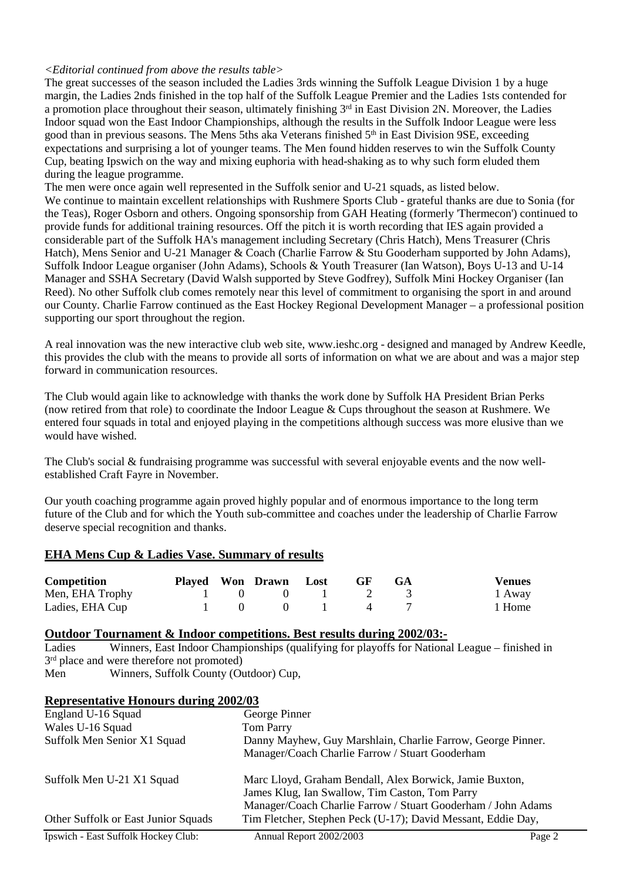#### *<Editorial continued from above the results table>*

The great successes of the season included the Ladies 3rds winning the Suffolk League Division 1 by a huge margin, the Ladies 2nds finished in the top half of the Suffolk League Premier and the Ladies 1sts contended for a promotion place throughout their season, ultimately finishing 3<sup>rd</sup> in East Division 2N. Moreover, the Ladies Indoor squad won the East Indoor Championships, although the results in the Suffolk Indoor League were less good than in previous seasons. The Mens 5ths aka Veterans finished 5<sup>th</sup> in East Division 9SE, exceeding expectations and surprising a lot of younger teams. The Men found hidden reserves to win the Suffolk County Cup, beating Ipswich on the way and mixing euphoria with head-shaking as to why such form eluded them during the league programme.

The men were once again well represented in the Suffolk senior and U-21 squads, as listed below. We continue to maintain excellent relationships with Rushmere Sports Club - grateful thanks are due to Sonia (for the Teas), Roger Osborn and others. Ongoing sponsorship from GAH Heating (formerly 'Thermecon') continued to provide funds for additional training resources. Off the pitch it is worth recording that IES again provided a considerable part of the Suffolk HA's management including Secretary (Chris Hatch), Mens Treasurer (Chris Hatch), Mens Senior and U-21 Manager & Coach (Charlie Farrow & Stu Gooderham supported by John Adams), Suffolk Indoor League organiser (John Adams), Schools & Youth Treasurer (Ian Watson), Boys U-13 and U-14 Manager and SSHA Secretary (David Walsh supported by Steve Godfrey), Suffolk Mini Hockey Organiser (Ian Reed). No other Suffolk club comes remotely near this level of commitment to organising the sport in and around our County. Charlie Farrow continued as the East Hockey Regional Development Manager – a professional position supporting our sport throughout the region.

A real innovation was the new interactive club web site, www.ieshc.org - designed and managed by Andrew Keedle, this provides the club with the means to provide all sorts of information on what we are about and was a major step forward in communication resources.

The Club would again like to acknowledge with thanks the work done by Suffolk HA President Brian Perks (now retired from that role) to coordinate the Indoor League & Cups throughout the season at Rushmere. We entered four squads in total and enjoyed playing in the competitions although success was more elusive than we would have wished.

The Club's social & fundraising programme was successful with several enjoyable events and the now wellestablished Craft Fayre in November.

Our youth coaching programme again proved highly popular and of enormous importance to the long term future of the Club and for which the Youth sub-committee and coaches under the leadership of Charlie Farrow deserve special recognition and thanks.

#### **EHA Mens Cup & Ladies Vase. Summary of results**

| Competition     |                                                    | Played Won Drawn Lost | <b>GF</b>                                   | - GA | <b>Venues</b> |
|-----------------|----------------------------------------------------|-----------------------|---------------------------------------------|------|---------------|
| Men, EHA Trophy |                                                    | 1 0 0 1 2 3           |                                             |      | 1 Away        |
| Ladies, EHA Cup | $\begin{array}{ccc} & & 1 & \quad & 0 \end{array}$ |                       | $\begin{array}{cccc} 0 & 1 & 4 \end{array}$ |      | 1 Home        |

# **Outdoor Tournament & Indoor competitions. Best results during 2002/03:-**<br>Ladies Winners. East Indoor Championships (qualifying for playoffs for National

Winners, East Indoor Championships (qualifying for playoffs for National League – finished in 3<sup>rd</sup> place and were therefore not promoted)

Men Winners, Suffolk County (Outdoor) Cup,

#### **Representative Honours during 2002/03**

| England U-16 Squad<br>Wales U-16 Squad<br>Suffolk Men Senior X1 Squad | George Pinner<br>Tom Parry<br>Danny Mayhew, Guy Marshlain, Charlie Farrow, George Pinner.<br>Manager/Coach Charlie Farrow / Stuart Gooderham                                                                                              |        |
|-----------------------------------------------------------------------|-------------------------------------------------------------------------------------------------------------------------------------------------------------------------------------------------------------------------------------------|--------|
| Suffolk Men U-21 X1 Squad<br>Other Suffolk or East Junior Squads      | Marc Lloyd, Graham Bendall, Alex Borwick, Jamie Buxton,<br>James Klug, Ian Swallow, Tim Caston, Tom Parry<br>Manager/Coach Charlie Farrow / Stuart Gooderham / John Adams<br>Tim Fletcher, Stephen Peck (U-17); David Messant, Eddie Day, |        |
| <b>Ipswich - East Suffolk Hockey Club:</b>                            | Annual Report 2002/2003                                                                                                                                                                                                                   | Page 2 |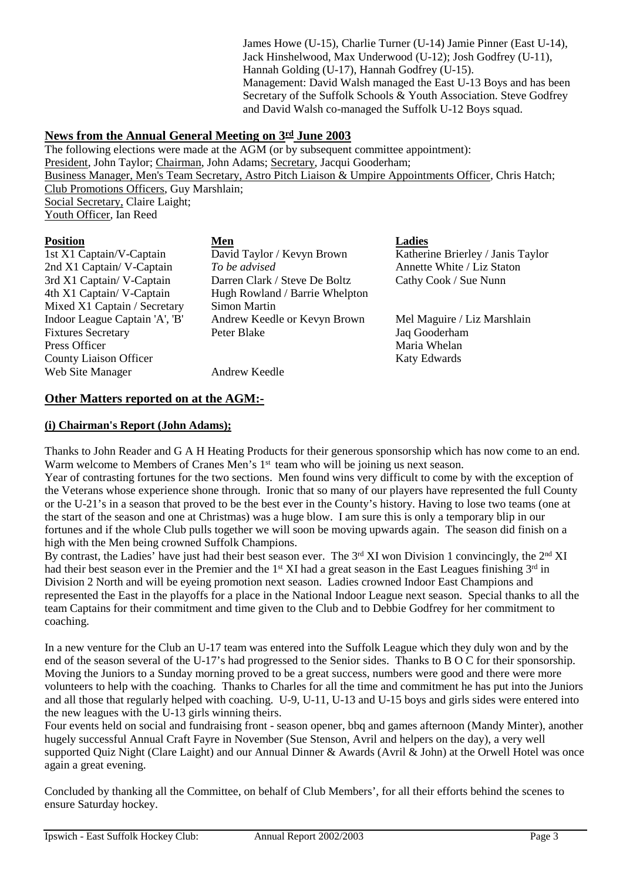James Howe (U-15), Charlie Turner (U-14) Jamie Pinner (East U-14), Jack Hinshelwood, Max Underwood (U-12); Josh Godfrey (U-11), Hannah Golding (U-17), Hannah Godfrey (U-15). Management: David Walsh managed the East U-13 Boys and has been Secretary of the Suffolk Schools & Youth Association. Steve Godfrey and David Walsh co-managed the Suffolk U-12 Boys squad.

#### **News from the Annual General Meeting on 3rd June 2003**

The following elections were made at the AGM (or by subsequent committee appointment): President, John Taylor; Chairman, John Adams; Secretary, Jacqui Gooderham; Business Manager, Men's Team Secretary, Astro Pitch Liaison & Umpire Appointments Officer, Chris Hatch; Club Promotions Officers, Guy Marshlain; Social Secretary, Claire Laight; Youth Officer, Ian Reed

| <b>Position</b>                | Men                            | <b>Ladies</b>                     |
|--------------------------------|--------------------------------|-----------------------------------|
| 1st X1 Captain/V-Captain       | David Taylor / Kevyn Brown     | Katherine Brierley / Janis Taylor |
| 2nd X1 Captain/ V-Captain      | To be advised                  | Annette White / Liz Staton        |
| 3rd X1 Captain/V-Captain       | Darren Clark / Steve De Boltz  | Cathy Cook / Sue Nunn             |
| 4th X1 Captain/ V-Captain      | Hugh Rowland / Barrie Whelpton |                                   |
| Mixed X1 Captain / Secretary   | <b>Simon Martin</b>            |                                   |
| Indoor League Captain 'A', 'B' | Andrew Keedle or Kevyn Brown   | Mel Maguire / Liz Marshlain       |
| <b>Fixtures Secretary</b>      | Peter Blake                    | Jaq Gooderham                     |
| Press Officer                  |                                | Maria Whelan                      |
| <b>County Liaison Officer</b>  |                                | Katy Edwards                      |
| Web Site Manager               | Andrew Keedle                  |                                   |

#### **Other Matters reported on at the AGM:-**

#### **(i) Chairman's Report (John Adams);**

Thanks to John Reader and G A H Heating Products for their generous sponsorship which has now come to an end. Warm welcome to Members of Cranes Men's 1<sup>st</sup> team who will be joining us next season.

Year of contrasting fortunes for the two sections. Men found wins very difficult to come by with the exception of the Veterans whose experience shone through. Ironic that so many of our players have represented the full County or the U-21's in a season that proved to be the best ever in the County's history. Having to lose two teams (one at the start of the season and one at Christmas) was a huge blow. I am sure this is only a temporary blip in our fortunes and if the whole Club pulls together we will soon be moving upwards again. The season did finish on a high with the Men being crowned Suffolk Champions.

By contrast, the Ladies' have just had their best season ever. The  $3<sup>rd</sup> XI$  won Division 1 convincingly, the  $2<sup>nd</sup> XI$ had their best season ever in the Premier and the 1<sup>st</sup> XI had a great season in the East Leagues finishing 3<sup>rd</sup> in Division 2 North and will be eyeing promotion next season. Ladies crowned Indoor East Champions and represented the East in the playoffs for a place in the National Indoor League next season. Special thanks to all the team Captains for their commitment and time given to the Club and to Debbie Godfrey for her commitment to coaching.

In a new venture for the Club an U-17 team was entered into the Suffolk League which they duly won and by the end of the season several of the U-17's had progressed to the Senior sides. Thanks to B O C for their sponsorship. Moving the Juniors to a Sunday morning proved to be a great success, numbers were good and there were more volunteers to help with the coaching. Thanks to Charles for all the time and commitment he has put into the Juniors and all those that regularly helped with coaching. U-9, U-11, U-13 and U-15 boys and girls sides were entered into the new leagues with the U-13 girls winning theirs.

Four events held on social and fundraising front - season opener, bbq and games afternoon (Mandy Minter), another hugely successful Annual Craft Fayre in November (Sue Stenson, Avril and helpers on the day), a very well supported Quiz Night (Clare Laight) and our Annual Dinner & Awards (Avril & John) at the Orwell Hotel was once again a great evening.

Concluded by thanking all the Committee, on behalf of Club Members', for all their efforts behind the scenes to ensure Saturday hockey.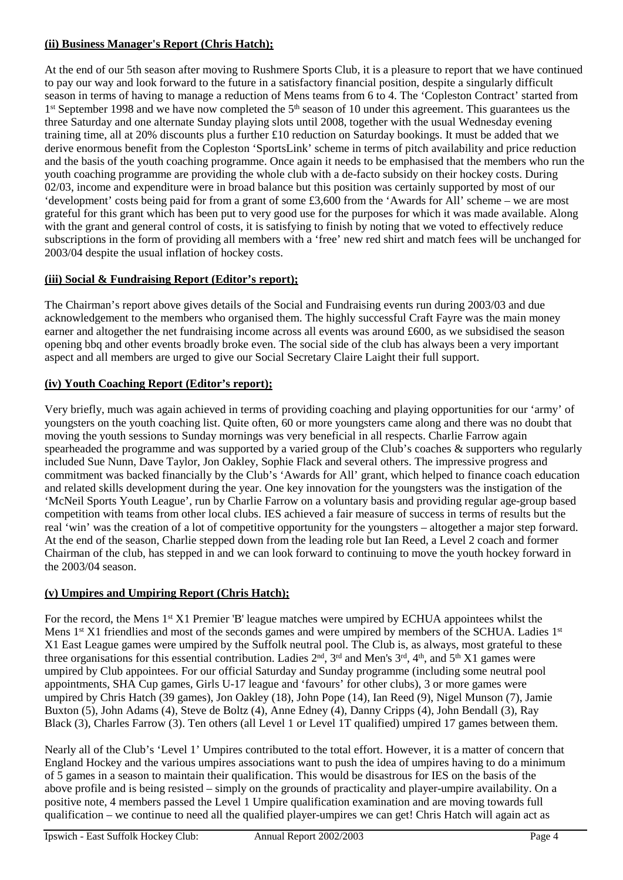#### **(ii) Business Manager's Report (Chris Hatch);**

At the end of our 5th season after moving to Rushmere Sports Club, it is a pleasure to report that we have continued to pay our way and look forward to the future in a satisfactory financial position, despite a singularly difficult season in terms of having to manage a reduction of Mens teams from 6 to 4. The 'Copleston Contract' started from 1<sup>st</sup> September 1998 and we have now completed the 5<sup>th</sup> season of 10 under this agreement. This guarantees us the three Saturday and one alternate Sunday playing slots until 2008, together with the usual Wednesday evening training time, all at 20% discounts plus a further £10 reduction on Saturday bookings. It must be added that we derive enormous benefit from the Copleston 'SportsLink' scheme in terms of pitch availability and price reduction and the basis of the youth coaching programme. Once again it needs to be emphasised that the members who run the youth coaching programme are providing the whole club with a de-facto subsidy on their hockey costs. During 02/03, income and expenditure were in broad balance but this position was certainly supported by most of our 'development' costs being paid for from a grant of some £3,600 from the 'Awards for All' scheme – we are most grateful for this grant which has been put to very good use for the purposes for which it was made available. Along with the grant and general control of costs, it is satisfying to finish by noting that we voted to effectively reduce subscriptions in the form of providing all members with a 'free' new red shirt and match fees will be unchanged for 2003/04 despite the usual inflation of hockey costs.

# **(iii) Social & Fundraising Report (Editor's report);**

The Chairman's report above gives details of the Social and Fundraising events run during 2003/03 and due acknowledgement to the members who organised them. The highly successful Craft Fayre was the main money earner and altogether the net fundraising income across all events was around £600, as we subsidised the season opening bbq and other events broadly broke even. The social side of the club has always been a very important aspect and all members are urged to give our Social Secretary Claire Laight their full support.

# **(iv) Youth Coaching Report (Editor's report);**

Very briefly, much was again achieved in terms of providing coaching and playing opportunities for our 'army' of youngsters on the youth coaching list. Quite often, 60 or more youngsters came along and there was no doubt that moving the youth sessions to Sunday mornings was very beneficial in all respects. Charlie Farrow again spearheaded the programme and was supported by a varied group of the Club's coaches & supporters who regularly included Sue Nunn, Dave Taylor, Jon Oakley, Sophie Flack and several others. The impressive progress and commitment was backed financially by the Club's 'Awards for All' grant, which helped to finance coach education and related skills development during the year. One key innovation for the youngsters was the instigation of the 'McNeil Sports Youth League', run by Charlie Farrow on a voluntary basis and providing regular age-group based competition with teams from other local clubs. IES achieved a fair measure of success in terms of results but the real 'win' was the creation of a lot of competitive opportunity for the youngsters – altogether a major step forward. At the end of the season, Charlie stepped down from the leading role but Ian Reed, a Level 2 coach and former Chairman of the club, has stepped in and we can look forward to continuing to move the youth hockey forward in the 2003/04 season.

# **(v) Umpires and Umpiring Report (Chris Hatch);**

For the record, the Mens 1<sup>st</sup> X1 Premier 'B' league matches were umpired by ECHUA appointees whilst the Mens 1<sup>st</sup> X1 friendlies and most of the seconds games and were umpired by members of the SCHUA. Ladies 1<sup>st</sup> X1 East League games were umpired by the Suffolk neutral pool. The Club is, as always, most grateful to these three organisations for this essential contribution. Ladies  $2<sup>nd</sup>$ ,  $3<sup>rd</sup>$  and Men's  $3<sup>rd</sup>$ ,  $4<sup>th</sup>$ , and  $5<sup>th</sup> X1$  games were umpired by Club appointees. For our official Saturday and Sunday programme (including some neutral pool appointments, SHA Cup games, Girls U-17 league and 'favours' for other clubs), 3 or more games were umpired by Chris Hatch (39 games), Jon Oakley (18), John Pope (14), Ian Reed (9), Nigel Munson (7), Jamie Buxton (5), John Adams (4), Steve de Boltz (4), Anne Edney (4), Danny Cripps (4), John Bendall (3), Ray Black (3), Charles Farrow (3). Ten others (all Level 1 or Level 1T qualified) umpired 17 games between them.

Nearly all of the Club's 'Level 1' Umpires contributed to the total effort. However, it is a matter of concern that England Hockey and the various umpires associations want to push the idea of umpires having to do a minimum of 5 games in a season to maintain their qualification. This would be disastrous for IES on the basis of the above profile and is being resisted – simply on the grounds of practicality and player-umpire availability. On a positive note, 4 members passed the Level 1 Umpire qualification examination and are moving towards full qualification – we continue to need all the qualified player-umpires we can get! Chris Hatch will again act as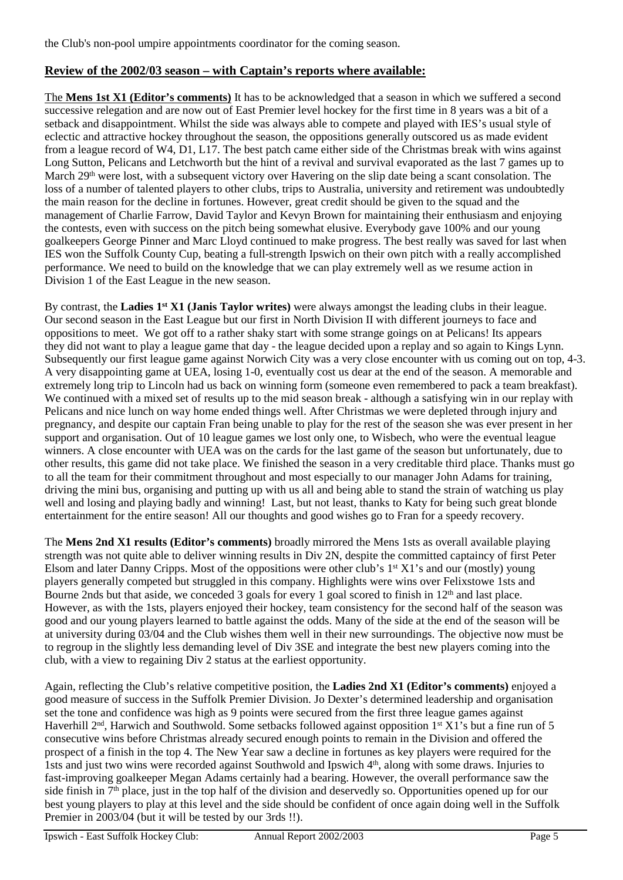the Club's non-pool umpire appointments coordinator for the coming season.

#### **Review of the 2002/03 season – with Captain's reports where available:**

The **Mens 1st X1 (Editor's comments)** It has to be acknowledged that a season in which we suffered a second successive relegation and are now out of East Premier level hockey for the first time in 8 years was a bit of a setback and disappointment. Whilst the side was always able to compete and played with IES's usual style of eclectic and attractive hockey throughout the season, the oppositions generally outscored us as made evident from a league record of W4, D1, L17. The best patch came either side of the Christmas break with wins against Long Sutton, Pelicans and Letchworth but the hint of a revival and survival evaporated as the last 7 games up to March 29<sup>th</sup> were lost, with a subsequent victory over Havering on the slip date being a scant consolation. The loss of a number of talented players to other clubs, trips to Australia, university and retirement was undoubtedly the main reason for the decline in fortunes. However, great credit should be given to the squad and the management of Charlie Farrow, David Taylor and Kevyn Brown for maintaining their enthusiasm and enjoying the contests, even with success on the pitch being somewhat elusive. Everybody gave 100% and our young goalkeepers George Pinner and Marc Lloyd continued to make progress. The best really was saved for last when IES won the Suffolk County Cup, beating a full-strength Ipswich on their own pitch with a really accomplished performance. We need to build on the knowledge that we can play extremely well as we resume action in Division 1 of the East League in the new season.

By contrast, the **Ladies 1st X1 (Janis Taylor writes)** were always amongst the leading clubs in their league. Our second season in the East League but our first in North Division II with different journeys to face and oppositions to meet. We got off to a rather shaky start with some strange goings on at Pelicans! Its appears they did not want to play a league game that day - the league decided upon a replay and so again to Kings Lynn. Subsequently our first league game against Norwich City was a very close encounter with us coming out on top, 4-3. A very disappointing game at UEA, losing 1-0, eventually cost us dear at the end of the season. A memorable and extremely long trip to Lincoln had us back on winning form (someone even remembered to pack a team breakfast). We continued with a mixed set of results up to the mid season break - although a satisfying win in our replay with Pelicans and nice lunch on way home ended things well. After Christmas we were depleted through injury and pregnancy, and despite our captain Fran being unable to play for the rest of the season she was ever present in her support and organisation. Out of 10 league games we lost only one, to Wisbech, who were the eventual league winners. A close encounter with UEA was on the cards for the last game of the season but unfortunately, due to other results, this game did not take place. We finished the season in a very creditable third place. Thanks must go to all the team for their commitment throughout and most especially to our manager John Adams for training, driving the mini bus, organising and putting up with us all and being able to stand the strain of watching us play well and losing and playing badly and winning! Last, but not least, thanks to Katy for being such great blonde entertainment for the entire season! All our thoughts and good wishes go to Fran for a speedy recovery.

The **Mens 2nd X1 results (Editor's comments)** broadly mirrored the Mens 1sts as overall available playing strength was not quite able to deliver winning results in Div 2N, despite the committed captaincy of first Peter Elsom and later Danny Cripps. Most of the oppositions were other club's  $1^{st}$  X1's and our (mostly) young players generally competed but struggled in this company. Highlights were wins over Felixstowe 1sts and Bourne 2nds but that aside, we conceded 3 goals for every 1 goal scored to finish in 12th and last place. However, as with the 1sts, players enjoyed their hockey, team consistency for the second half of the season was good and our young players learned to battle against the odds. Many of the side at the end of the season will be at university during 03/04 and the Club wishes them well in their new surroundings. The objective now must be to regroup in the slightly less demanding level of Div 3SE and integrate the best new players coming into the club, with a view to regaining Div 2 status at the earliest opportunity.

Again, reflecting the Club's relative competitive position, the **Ladies 2nd X1 (Editor's comments)** enjoyed a good measure of success in the Suffolk Premier Division. Jo Dexter's determined leadership and organisation set the tone and confidence was high as 9 points were secured from the first three league games against Haverhill 2<sup>nd</sup>, Harwich and Southwold. Some setbacks followed against opposition 1<sup>st</sup> X1's but a fine run of 5 consecutive wins before Christmas already secured enough points to remain in the Division and offered the prospect of a finish in the top 4. The New Year saw a decline in fortunes as key players were required for the 1sts and just two wins were recorded against Southwold and Ipswich 4th, along with some draws. Injuries to fast-improving goalkeeper Megan Adams certainly had a bearing. However, the overall performance saw the side finish in 7th place, just in the top half of the division and deservedly so. Opportunities opened up for our best young players to play at this level and the side should be confident of once again doing well in the Suffolk Premier in 2003/04 (but it will be tested by our 3rds !!).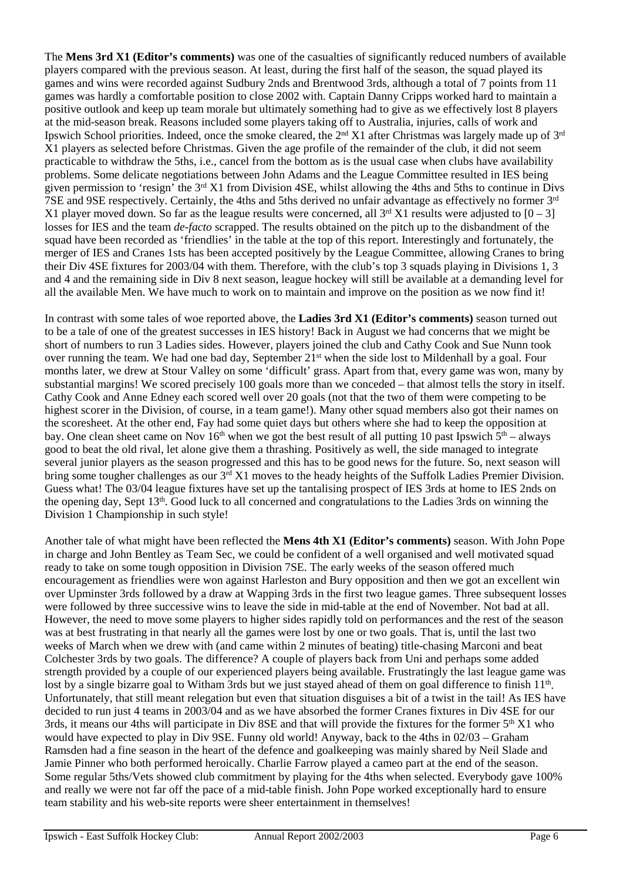The **Mens 3rd X1 (Editor's comments)** was one of the casualties of significantly reduced numbers of available players compared with the previous season. At least, during the first half of the season, the squad played its games and wins were recorded against Sudbury 2nds and Brentwood 3rds, although a total of 7 points from 11 games was hardly a comfortable position to close 2002 with. Captain Danny Cripps worked hard to maintain a positive outlook and keep up team morale but ultimately something had to give as we effectively lost 8 players at the mid-season break. Reasons included some players taking off to Australia, injuries, calls of work and Ipswich School priorities. Indeed, once the smoke cleared, the 2nd X1 after Christmas was largely made up of 3rd X1 players as selected before Christmas. Given the age profile of the remainder of the club, it did not seem practicable to withdraw the 5ths, i.e., cancel from the bottom as is the usual case when clubs have availability problems. Some delicate negotiations between John Adams and the League Committee resulted in IES being given permission to 'resign' the  $3<sup>rd</sup> X1$  from Division 4SE, whilst allowing the 4ths and 5ths to continue in Divs 7SE and 9SE respectively. Certainly, the 4ths and 5ths derived no unfair advantage as effectively no former 3<sup>rd</sup> X1 player moved down. So far as the league results were concerned, all  $3<sup>rd</sup> X1$  results were adjusted to  $[0-3]$ losses for IES and the team *de-facto* scrapped. The results obtained on the pitch up to the disbandment of the squad have been recorded as 'friendlies' in the table at the top of this report. Interestingly and fortunately, the merger of IES and Cranes 1sts has been accepted positively by the League Committee, allowing Cranes to bring their Div 4SE fixtures for 2003/04 with them. Therefore, with the club's top 3 squads playing in Divisions 1, 3 and 4 and the remaining side in Div 8 next season, league hockey will still be available at a demanding level for all the available Men. We have much to work on to maintain and improve on the position as we now find it!

In contrast with some tales of woe reported above, the **Ladies 3rd X1 (Editor's comments)** season turned out to be a tale of one of the greatest successes in IES history! Back in August we had concerns that we might be short of numbers to run 3 Ladies sides. However, players joined the club and Cathy Cook and Sue Nunn took over running the team. We had one bad day, September 21<sup>st</sup> when the side lost to Mildenhall by a goal. Four months later, we drew at Stour Valley on some 'difficult' grass. Apart from that, every game was won, many by substantial margins! We scored precisely 100 goals more than we conceded – that almost tells the story in itself. Cathy Cook and Anne Edney each scored well over 20 goals (not that the two of them were competing to be highest scorer in the Division, of course, in a team game!). Many other squad members also got their names on the scoresheet. At the other end, Fay had some quiet days but others where she had to keep the opposition at bay. One clean sheet came on Nov 16<sup>th</sup> when we got the best result of all putting 10 past Ipswich  $5<sup>th</sup>$  – always good to beat the old rival, let alone give them a thrashing. Positively as well, the side managed to integrate several junior players as the season progressed and this has to be good news for the future. So, next season will bring some tougher challenges as our 3<sup>rd</sup> X1 moves to the heady heights of the Suffolk Ladies Premier Division. Guess what! The 03/04 league fixtures have set up the tantalising prospect of IES 3rds at home to IES 2nds on the opening day, Sept 13th. Good luck to all concerned and congratulations to the Ladies 3rds on winning the Division 1 Championship in such style!

Another tale of what might have been reflected the **Mens 4th X1 (Editor's comments)** season. With John Pope in charge and John Bentley as Team Sec, we could be confident of a well organised and well motivated squad ready to take on some tough opposition in Division 7SE. The early weeks of the season offered much encouragement as friendlies were won against Harleston and Bury opposition and then we got an excellent win over Upminster 3rds followed by a draw at Wapping 3rds in the first two league games. Three subsequent losses were followed by three successive wins to leave the side in mid-table at the end of November. Not bad at all. However, the need to move some players to higher sides rapidly told on performances and the rest of the season was at best frustrating in that nearly all the games were lost by one or two goals. That is, until the last two weeks of March when we drew with (and came within 2 minutes of beating) title-chasing Marconi and beat Colchester 3rds by two goals. The difference? A couple of players back from Uni and perhaps some added strength provided by a couple of our experienced players being available. Frustratingly the last league game was lost by a single bizarre goal to Witham 3rds but we just stayed ahead of them on goal difference to finish 11<sup>th</sup>. Unfortunately, that still meant relegation but even that situation disguises a bit of a twist in the tail! As IES have decided to run just 4 teams in 2003/04 and as we have absorbed the former Cranes fixtures in Div 4SE for our 3rds, it means our 4ths will participate in Div 8SE and that will provide the fixtures for the former  $5<sup>th</sup> X1$  who would have expected to play in Div 9SE. Funny old world! Anyway, back to the 4ths in 02/03 – Graham Ramsden had a fine season in the heart of the defence and goalkeeping was mainly shared by Neil Slade and Jamie Pinner who both performed heroically. Charlie Farrow played a cameo part at the end of the season. Some regular 5ths/Vets showed club commitment by playing for the 4ths when selected. Everybody gave 100% and really we were not far off the pace of a mid-table finish. John Pope worked exceptionally hard to ensure team stability and his web-site reports were sheer entertainment in themselves!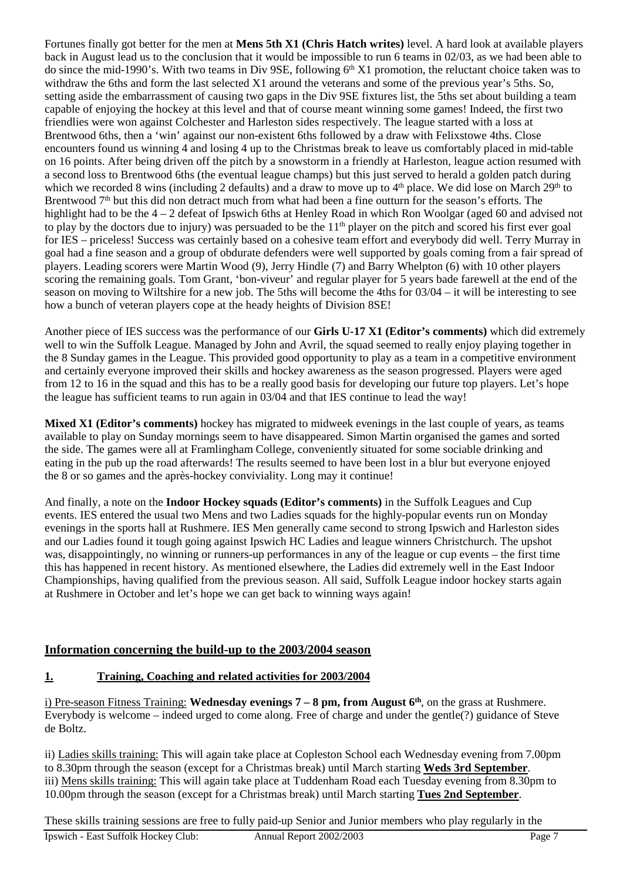Fortunes finally got better for the men at **Mens 5th X1 (Chris Hatch writes)** level. A hard look at available players back in August lead us to the conclusion that it would be impossible to run 6 teams in 02/03, as we had been able to do since the mid-1990's. With two teams in Div 9SE, following 6<sup>th</sup> X1 promotion, the reluctant choice taken was to withdraw the 6ths and form the last selected X1 around the veterans and some of the previous year's 5ths. So, setting aside the embarrassment of causing two gaps in the Div 9SE fixtures list, the 5ths set about building a team capable of enjoying the hockey at this level and that of course meant winning some games! Indeed, the first two friendlies were won against Colchester and Harleston sides respectively. The league started with a loss at Brentwood 6ths, then a 'win' against our non-existent 6ths followed by a draw with Felixstowe 4ths. Close encounters found us winning 4 and losing 4 up to the Christmas break to leave us comfortably placed in mid-table on 16 points. After being driven off the pitch by a snowstorm in a friendly at Harleston, league action resumed with a second loss to Brentwood 6ths (the eventual league champs) but this just served to herald a golden patch during which we recorded 8 wins (including 2 defaults) and a draw to move up to 4<sup>th</sup> place. We did lose on March 29<sup>th</sup> to Brentwood 7<sup>th</sup> but this did non detract much from what had been a fine outturn for the season's efforts. The highlight had to be the  $4 - 2$  defeat of Ipswich 6ths at Henley Road in which Ron Woolgar (aged 60 and advised not to play by the doctors due to injury) was persuaded to be the 11<sup>th</sup> player on the pitch and scored his first ever goal for IES – priceless! Success was certainly based on a cohesive team effort and everybody did well. Terry Murray in goal had a fine season and a group of obdurate defenders were well supported by goals coming from a fair spread of players. Leading scorers were Martin Wood (9), Jerry Hindle (7) and Barry Whelpton (6) with 10 other players scoring the remaining goals. Tom Grant, 'bon-viveur' and regular player for 5 years bade farewell at the end of the season on moving to Wiltshire for a new job. The 5ths will become the 4ths for 03/04 – it will be interesting to see how a bunch of veteran players cope at the heady heights of Division 8SE!

Another piece of IES success was the performance of our **Girls U-17 X1 (Editor's comments)** which did extremely well to win the Suffolk League. Managed by John and Avril, the squad seemed to really enjoy playing together in the 8 Sunday games in the League. This provided good opportunity to play as a team in a competitive environment and certainly everyone improved their skills and hockey awareness as the season progressed. Players were aged from 12 to 16 in the squad and this has to be a really good basis for developing our future top players. Let's hope the league has sufficient teams to run again in 03/04 and that IES continue to lead the way!

**Mixed X1 (Editor's comments)** hockey has migrated to midweek evenings in the last couple of years, as teams available to play on Sunday mornings seem to have disappeared. Simon Martin organised the games and sorted the side. The games were all at Framlingham College, conveniently situated for some sociable drinking and eating in the pub up the road afterwards! The results seemed to have been lost in a blur but everyone enjoyed the 8 or so games and the après-hockey conviviality. Long may it continue!

And finally, a note on the **Indoor Hockey squads (Editor's comments)** in the Suffolk Leagues and Cup events. IES entered the usual two Mens and two Ladies squads for the highly-popular events run on Monday evenings in the sports hall at Rushmere. IES Men generally came second to strong Ipswich and Harleston sides and our Ladies found it tough going against Ipswich HC Ladies and league winners Christchurch. The upshot was, disappointingly, no winning or runners-up performances in any of the league or cup events – the first time this has happened in recent history. As mentioned elsewhere, the Ladies did extremely well in the East Indoor Championships, having qualified from the previous season. All said, Suffolk League indoor hockey starts again at Rushmere in October and let's hope we can get back to winning ways again!

# **Information concerning the build-up to the 2003/2004 season**

# **1. Training, Coaching and related activities for 2003/2004**

i) Pre-season Fitness Training: **Wednesday evenings 7 – 8 pm, from August 6th**, on the grass at Rushmere. Everybody is welcome – indeed urged to come along. Free of charge and under the gentle(?) guidance of Steve de Boltz.

ii) Ladies skills training: This will again take place at Copleston School each Wednesday evening from 7.00pm to 8.30pm through the season (except for a Christmas break) until March starting **Weds 3rd September**. iii) Mens skills training: This will again take place at Tuddenham Road each Tuesday evening from 8.30pm to 10.00pm through the season (except for a Christmas break) until March starting **Tues 2nd September**.

These skills training sessions are free to fully paid-up Senior and Junior members who play regularly in the